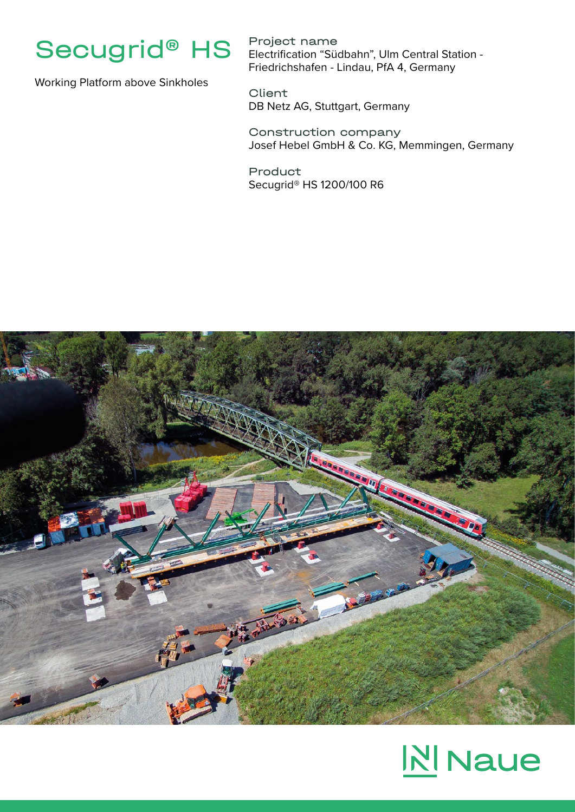

Working Platform above Sinkholes

Project name Electrification "Südbahn", Ulm Central Station - Friedrichshafen - Lindau, PfA 4, Germany

**Client** DB Netz AG, Stuttgart, Germany

Construction company Josef Hebel GmbH & Co. KG, Memmingen, Germany

Product Secugrid® HS 1200/100 R6



## **NI** Naue